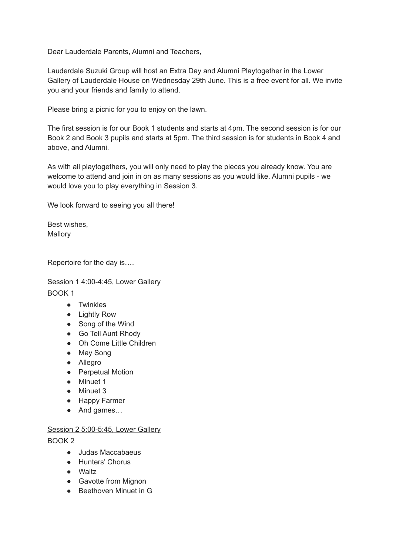Dear Lauderdale Parents, Alumni and Teachers,

Lauderdale Suzuki Group will host an Extra Day and Alumni Playtogether in the Lower Gallery of Lauderdale House on Wednesday 29th June. This is a free event for all. We invite you and your friends and family to attend.

Please bring a picnic for you to enjoy on the lawn.

The first session is for our Book 1 students and starts at 4pm. The second session is for our Book 2 and Book 3 pupils and starts at 5pm. The third session is for students in Book 4 and above, and Alumni.

As with all playtogethers, you will only need to play the pieces you already know. You are welcome to attend and join in on as many sessions as you would like. Alumni pupils - we would love you to play everything in Session 3.

We look forward to seeing you all there!

Best wishes, Mallory

Repertoire for the day is….

Session 1 4:00-4:45, Lower Gallery

BOOK 1

- Twinkles
- Lightly Row
- Song of the Wind
- Go Tell Aunt Rhody
- Oh Come Little Children
- May Song
- Allegro
- Perpetual Motion
- Minuet 1
- Minuet 3
- Happy Farmer
- And games...

#### Session 2 5:00-5:45, Lower Gallery

BOOK 2

- Judas Maccabaeus
- Hunters' Chorus
- Waltz
- Gavotte from Mignon
- Beethoven Minuet in G